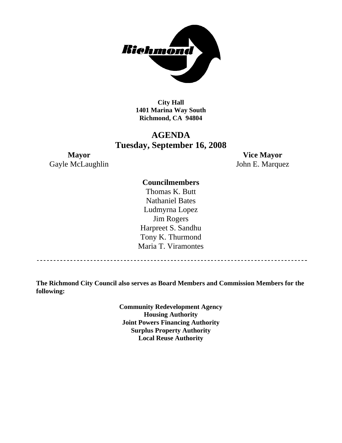

**City Hall 1401 Marina Way South Richmond, CA 94804** 

# **AGENDA Tuesday, September 16, 2008**

Gayle McLaughlin John E. Marquez

**Mayor Vice Mayor** 

### **Councilmembers**

Thomas K. Butt Nathaniel Bates Ludmyrna Lopez Jim Rogers Harpreet S. Sandhu Tony K. Thurmond Maria T. Viramontes

**The Richmond City Council also serves as Board Members and Commission Members for the following:** 

> **Community Redevelopment Agency Housing Authority Joint Powers Financing Authority Surplus Property Authority Local Reuse Authority**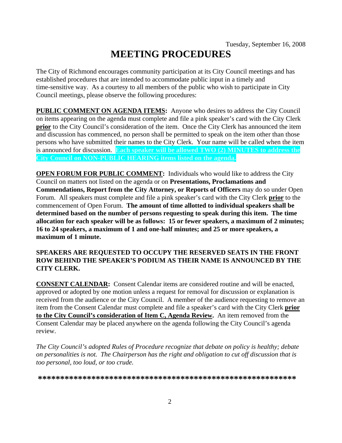# **MEETING PROCEDURES**

The City of Richmond encourages community participation at its City Council meetings and has established procedures that are intended to accommodate public input in a timely and time-sensitive way. As a courtesy to all members of the public who wish to participate in City Council meetings, please observe the following procedures:

**PUBLIC COMMENT ON AGENDA ITEMS:** Anyone who desires to address the City Council on items appearing on the agenda must complete and file a pink speaker's card with the City Clerk **prior** to the City Council's consideration of the item. Once the City Clerk has announced the item and discussion has commenced, no person shall be permitted to speak on the item other than those persons who have submitted their names to the City Clerk. Your name will be called when the item is announced for discussion. **Each speaker will be allowed TWO (2) MINUTES to address the City Council on NON-PUBLIC HEARING items listed on the agenda.** 

**OPEN FORUM FOR PUBLIC COMMENT:** Individuals who would like to address the City Council on matters not listed on the agenda or on **Presentations, Proclamations and Commendations, Report from the City Attorney, or Reports of Officers** may do so under Open Forum. All speakers must complete and file a pink speaker's card with the City Clerk **prior** to the commencement of Open Forum. **The amount of time allotted to individual speakers shall be determined based on the number of persons requesting to speak during this item. The time allocation for each speaker will be as follows: 15 or fewer speakers, a maximum of 2 minutes; 16 to 24 speakers, a maximum of 1 and one-half minutes; and 25 or more speakers, a maximum of 1 minute.** 

#### **SPEAKERS ARE REQUESTED TO OCCUPY THE RESERVED SEATS IN THE FRONT ROW BEHIND THE SPEAKER'S PODIUM AS THEIR NAME IS ANNOUNCED BY THE CITY CLERK.**

**CONSENT CALENDAR:** Consent Calendar items are considered routine and will be enacted, approved or adopted by one motion unless a request for removal for discussion or explanation is received from the audience or the City Council. A member of the audience requesting to remove an item from the Consent Calendar must complete and file a speaker's card with the City Clerk **prior to the City Council's consideration of Item C, Agenda Review.** An item removed from the Consent Calendar may be placed anywhere on the agenda following the City Council's agenda review.

*The City Council's adopted Rules of Procedure recognize that debate on policy is healthy; debate on personalities is not. The Chairperson has the right and obligation to cut off discussion that is too personal, too loud, or too crude.* 

**\*\*\*\*\*\*\*\*\*\*\*\*\*\*\*\*\*\*\*\*\*\*\*\*\*\*\*\*\*\*\*\*\*\*\*\*\*\*\*\*\*\*\*\*\*\*\*\*\*\*\*\*\*\*\*\*\*\***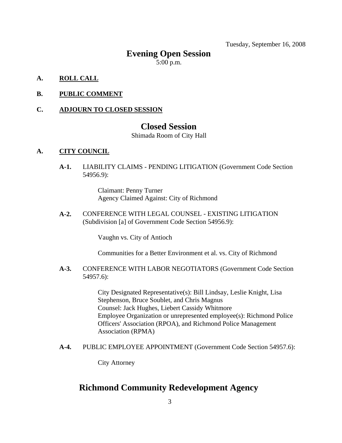Tuesday, September 16, 2008

## **Evening Open Session**

5:00 p.m.

- **A. ROLL CALL**
- **B. PUBLIC COMMENT**

#### **C. ADJOURN TO CLOSED SESSION**

### **Closed Session**

Shimada Room of City Hall

#### **A. CITY COUNCIL**

**A-1.** LIABILITY CLAIMS - PENDING LITIGATION (Government Code Section 54956.9):

> Claimant: Penny Turner Agency Claimed Against: City of Richmond

**A-2.** CONFERENCE WITH LEGAL COUNSEL - EXISTING LITIGATION (Subdivision [a] of Government Code Section 54956.9):

Vaughn vs. City of Antioch

Communities for a Better Environment et al. vs. City of Richmond

#### **A-3.** CONFERENCE WITH LABOR NEGOTIATORS (Government Code Section 54957.6):

City Designated Representative(s): Bill Lindsay, Leslie Knight, Lisa Stephenson, Bruce Soublet, and Chris Magnus Counsel: Jack Hughes, Liebert Cassidy Whitmore Employee Organization or unrepresented employee(s): Richmond Police Officers' Association (RPOA), and Richmond Police Management Association (RPMA)

**A-4.** PUBLIC EMPLOYEE APPOINTMENT (Government Code Section 54957.6):

City Attorney

# **Richmond Community Redevelopment Agency**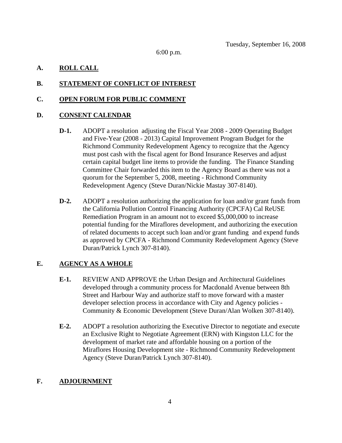6:00 p.m.

#### **A. ROLL CALL**

#### **B. STATEMENT OF CONFLICT OF INTEREST**

#### **C. OPEN FORUM FOR PUBLIC COMMENT**

#### **D. CONSENT CALENDAR**

- **D-1.** ADOPT a resolution adjusting the Fiscal Year 2008 2009 Operating Budget and Five-Year (2008 - 2013) Capital Improvement Program Budget for the Richmond Community Redevelopment Agency to recognize that the Agency must post cash with the fiscal agent for Bond Insurance Reserves and adjust certain capital budget line items to provide the funding. The Finance Standing Committee Chair forwarded this item to the Agency Board as there was not a quorum for the September 5, 2008, meeting - Richmond Community Redevelopment Agency (Steve Duran/Nickie Mastay 307-8140).
- **D-2.** ADOPT a resolution authorizing the application for loan and/or grant funds from the California Pollution Control Financing Authority (CPCFA) Cal ReUSE Remediation Program in an amount not to exceed \$5,000,000 to increase potential funding for the Miraflores development, and authorizing the execution of related documents to accept such loan and/or grant funding and expend funds as approved by CPCFA - Richmond Community Redevelopment Agency (Steve Duran/Patrick Lynch 307-8140).

#### **E. AGENCY AS A WHOLE**

- **E-1.** REVIEW AND APPROVE the Urban Design and Architectural Guidelines developed through a community process for Macdonald Avenue between 8th Street and Harbour Way and authorize staff to move forward with a master developer selection process in accordance with City and Agency policies - Community & Economic Development (Steve Duran/Alan Wolken 307-8140).
- **E-2.** ADOPT a resolution authorizing the Executive Director to negotiate and execute an Exclusive Right to Negotiate Agreement (ERN) with Kingston LLC for the development of market rate and affordable housing on a portion of the Miraflores Housing Development site - Richmond Community Redevelopment Agency (Steve Duran/Patrick Lynch 307-8140).

#### **F. ADJOURNMENT**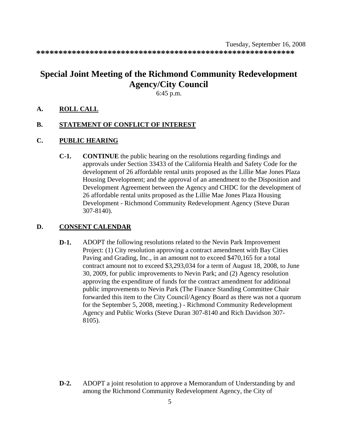**\*\*\*\*\*\*\*\*\*\*\*\*\*\*\*\*\*\*\*\*\*\*\*\*\*\*\*\*\*\*\*\*\*\*\*\*\*\*\*\*\*\*\*\*\*\*\*\*\*\*\*\*\*\*\*\*\*\*** 

# **Special Joint Meeting of the Richmond Community Redevelopment Agency/City Council**

6:45 p.m.

**A. ROLL CALL**

#### **B. STATEMENT OF CONFLICT OF INTEREST**

- **C. PUBLIC HEARING**
	- **C-1. CONTINUE** the public hearing on the resolutions regarding findings and approvals under Section 33433 of the California Health and Safety Code for the development of 26 affordable rental units proposed as the Lillie Mae Jones Plaza Housing Development; and the approval of an amendment to the Disposition and Development Agreement between the Agency and CHDC for the development of 26 affordable rental units proposed as the Lillie Mae Jones Plaza Housing Development - Richmond Community Redevelopment Agency (Steve Duran 307-8140).

#### **D. CONSENT CALENDAR**

**D-1.** ADOPT the following resolutions related to the Nevin Park Improvement Project: (1) City resolution approving a contract amendment with Bay Cities Paving and Grading, Inc., in an amount not to exceed \$470,165 for a total contract amount not to exceed \$3,293,034 for a term of August 18, 2008, to June 30, 2009, for public improvements to Nevin Park; and (2) Agency resolution approving the expenditure of funds for the contract amendment for additional public improvements to Nevin Park (The Finance Standing Committee Chair forwarded this item to the City Council/Agency Board as there was not a quorum for the September 5, 2008, meeting.) - Richmond Community Redevelopment Agency and Public Works (Steve Duran 307-8140 and Rich Davidson 307- 8105).

**D-2.** ADOPT a joint resolution to approve a Memorandum of Understanding by and among the Richmond Community Redevelopment Agency, the City of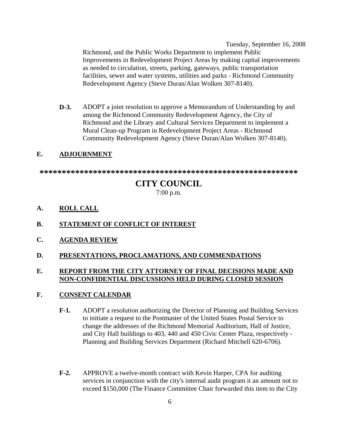Tuesday, September 16, 2008 Richmond, and the Public Works Department to implement Public Improvements in Redevelopment Project Areas by making capital improvements as needed to circulation, streets, parking, gateways, public transportation facilities, sewer and water systems, utilities and parks - Richmond Community Redevelopment Agency (Steve Duran/Alan Wolken 307-8140).

**D-3.** ADOPT a joint resolution to approve a Memorandum of Understanding by and among the Richmond Community Redevelopment Agency, the City of Richmond and the Library and Cultural Services Department to implement a Mural Clean-up Program in Redevelopment Project Areas - Richmond Community Redevelopment Agency (Steve Duran/Alan Wolken 307-8140).

#### **E. ADJOURNMENT**

**\*\*\*\*\*\*\*\*\*\*\*\*\*\*\*\*\*\*\*\*\*\*\*\*\*\*\*\*\*\*\*\*\*\*\*\*\*\*\*\*\*\*\*\*\*\*\*\*\*\*\*\*\*\*\*\*\*\*** 

# **CITY COUNCIL**

7:00 p.m.

#### **A. ROLL CALL**

#### **B. STATEMENT OF CONFLICT OF INTEREST**

- **C. AGENDA REVIEW**
- **D. PRESENTATIONS, PROCLAMATIONS, AND COMMENDATIONS**

#### **E. REPORT FROM THE CITY ATTORNEY OF FINAL DECISIONS MADE AND NON-CONFIDENTIAL DISCUSSIONS HELD DURING CLOSED SESSION**

#### **F. CONSENT CALENDAR**

- **F-1.** ADOPT a resolution authorizing the Director of Planning and Building Services to initiate a request to the Postmaster of the United States Postal Service to change the addresses of the Richmond Memorial Auditorium, Hall of Justice, and City Hall buildings to 403, 440 and 450 Civic Center Plaza, respectively - Planning and Building Services Department (Richard Mitchell 620-6706).
- **F-2.** APPROVE a twelve-month contract with Kevin Harper, CPA for auditing services in conjunction with the city's internal audit program it an amount not to exceed \$150,000 (The Finance Committee Chair forwarded this item to the City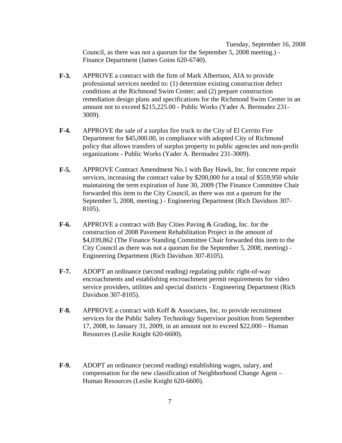Tuesday, September 16, 2008 Council, as there was not a quorum for the September 5, 2008 meeting.) - Finance Department (James Goins 620-6740).

- **F-3.** APPROVE a contract with the firm of Mark Albertson, AIA to provide professional services needed to: (1) determine existing construction defect conditions at the Richmond Swim Center; and (2) prepare construction remediation design plans and specifications for the Richmond Swim Center in an amount not to exceed \$215,225.00 - Public Works (Yader A. Bermudez 231- 3009).
- **F-4.** APPROVE the sale of a surplus fire truck to the City of El Cerrito Fire Department for \$45,000.00, in compliance with adopted City of Richmond policy that allows transfers of surplus property to public agencies and non-profit organizations - Public Works (Yader A. Bermudez 231-3009).
- **F-5.** APPROVE Contract Amendment No.1 with Bay Hawk, Inc. for concrete repair services, increasing the contract value by \$200,000 for a total of \$559,950 while maintaining the term expiration of June 30, 2009 (The Finance Committee Chair forwarded this item to the City Council, as there was not a quorum for the September 5, 2008, meeting.) - Engineering Department (Rich Davidson 307- 8105).
- **F-6.** APPROVE a contract with Bay Cities Paving & Grading, Inc. for the construction of 2008 Pavement Rehabilitation Project in the amount of \$4,039,862 (The Finance Standing Committee Chair forwarded this item to the City Council as there was not a quorum for the September 5, 2008, meeting) - Engineering Department (Rich Davidson 307-8105).
- **F-7.** ADOPT an ordinance (second reading) regulating public right-of-way encroachments and establishing encroachment permit requirements for video service providers, utilities and special districts - Engineering Department (Rich Davidson 307-8105).
- **F-8.** APPROVE a contract with Koff & Associates, Inc. to provide recruitment services for the Public Safety Technology Supervisor position from September 17, 2008, to January 31, 2009, in an amount not to exceed \$22,000 – Human Resources (Leslie Knight 620-6600).
- **F-9.** ADOPT an ordinance (second reading) establishing wages, salary, and compensation for the new classification of Neighborhood Change Agent – Human Resources (Leslie Knight 620-6600).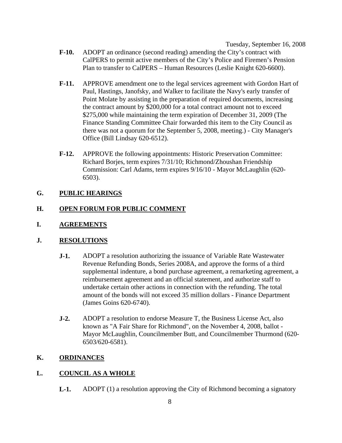Tuesday, September 16, 2008

- **F-10.** ADOPT an ordinance (second reading) amending the City's contract with CalPERS to permit active members of the City's Police and Firemen's Pension Plan to transfer to CalPERS – Human Resources (Leslie Knight 620-6600).
- **F-11.** APPROVE amendment one to the legal services agreement with Gordon Hart of Paul, Hastings, Janofsky, and Walker to facilitate the Navy's early transfer of Point Molate by assisting in the preparation of required documents, increasing the contract amount by \$200,000 for a total contract amount not to exceed \$275,000 while maintaining the term expiration of December 31, 2009 (The Finance Standing Committee Chair forwarded this item to the City Council as there was not a quorum for the September 5, 2008, meeting.) - City Manager's Office (Bill Lindsay 620-6512).
- **F-12.** APPROVE the following appointments: Historic Preservation Committee: Richard Borjes, term expires 7/31/10; Richmond/Zhoushan Friendship Commission: Carl Adams, term expires 9/16/10 - Mayor McLaughlin (620- 6503).

#### **G. PUBLIC HEARINGS**

#### **H. OPEN FORUM FOR PUBLIC COMMENT**

**I. AGREEMENTS**

#### **J. RESOLUTIONS**

- **J-1.** ADOPT a resolution authorizing the issuance of Variable Rate Wastewater Revenue Refunding Bonds, Series 2008A, and approve the forms of a third supplemental indenture, a bond purchase agreement, a remarketing agreement, a reimbursement agreement and an official statement, and authorize staff to undertake certain other actions in connection with the refunding. The total amount of the bonds will not exceed 35 million dollars - Finance Department (James Goins 620-6740).
- **J-2.** ADOPT a resolution to endorse Measure T, the Business License Act, also known as "A Fair Share for Richmond", on the November 4, 2008, ballot - Mayor McLaughlin, Councilmember Butt, and Councilmember Thurmond (620- 6503/620-6581).

#### **K. ORDINANCES**

#### **L. COUNCIL AS A WHOLE**

**L-1.** ADOPT (1) a resolution approving the City of Richmond becoming a signatory